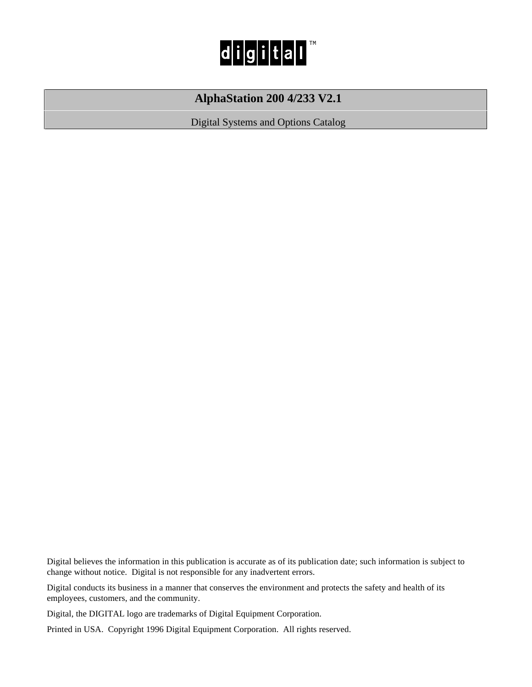

## **AlphaStation 200 4/233 V2.1**

Digital Systems and Options Catalog

Digital believes the information in this publication is accurate as of its publication date; such information is subject to change without notice. Digital is not responsible for any inadvertent errors.

Digital conducts its business in a manner that conserves the environment and protects the safety and health of its employees, customers, and the community.

Digital, the DIGITAL logo are trademarks of Digital Equipment Corporation.

Printed in USA. Copyright 1996 Digital Equipment Corporation. All rights reserved.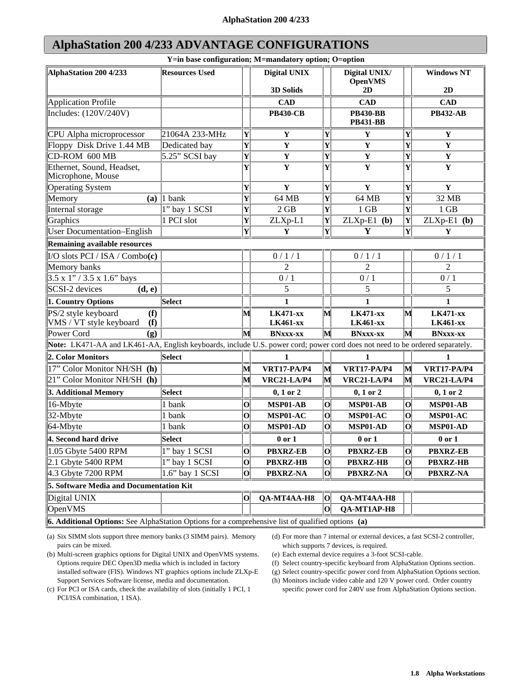## **AlphaStation 200 4/233 ADVANTAGE CONFIGURATIONS**

| Y=in base configuration; M=mandatory option; O=option                                                                       |                       |                         |                                    |                         |                                    |                         |                                    |  |  |  |  |
|-----------------------------------------------------------------------------------------------------------------------------|-----------------------|-------------------------|------------------------------------|-------------------------|------------------------------------|-------------------------|------------------------------------|--|--|--|--|
| AlphaStation 200 4/233                                                                                                      | <b>Resources Used</b> |                         | <b>Digital UNIX</b>                |                         | Digital UNIX/<br><b>OpenVMS</b>    |                         | <b>Windows NT</b>                  |  |  |  |  |
|                                                                                                                             |                       |                         | 3D Solids                          |                         | 2D                                 |                         | 2D                                 |  |  |  |  |
| <b>Application Profile</b>                                                                                                  |                       |                         | <b>CAD</b>                         |                         | <b>CAD</b>                         |                         | <b>CAD</b>                         |  |  |  |  |
| Includes: (120V/240V)                                                                                                       |                       |                         | <b>PB430-CB</b>                    |                         | <b>PB430-BB</b><br><b>PB431-BB</b> |                         | <b>PB432-AB</b>                    |  |  |  |  |
| CPU Alpha microprocessor                                                                                                    | 21064A 233-MHz        | Y                       | Y                                  | Y                       | Y                                  | Y                       | Y                                  |  |  |  |  |
| Floppy Disk Drive 1.44 MB                                                                                                   | Dedicated bay         | $\overline{\mathbf{Y}}$ | $\mathbf Y$                        | Y                       | $\mathbf Y$                        | Y                       | $\mathbf Y$                        |  |  |  |  |
| CD-ROM 600 MB                                                                                                               | 5.25" SCSI bay        | $\overline{\mathbf{Y}}$ | $\mathbf Y$                        | Y                       | $\mathbf Y$                        | $\overline{\mathbf{Y}}$ | $\mathbf Y$                        |  |  |  |  |
| Ethernet, Sound, Headset,<br>Microphone, Mouse                                                                              |                       | $\overline{\mathbf{Y}}$ | $\mathbf Y$                        | Y                       | Y                                  | Y                       | Y                                  |  |  |  |  |
| <b>Operating System</b>                                                                                                     |                       | $\overline{\mathbf{Y}}$ | $\mathbf Y$                        | Y                       | $\mathbf Y$                        | Y                       | $\mathbf Y$                        |  |  |  |  |
| Memory<br>(a)                                                                                                               | 1 bank                | $\overline{\mathbf{Y}}$ | 64 MB                              | Y                       | 64 MB                              | Y                       | 32 MB                              |  |  |  |  |
| Internal storage                                                                                                            | 1" bay 1 SCSI         | $\overline{\mathbf{Y}}$ | 2 GB                               | $\overline{\mathbf{Y}}$ | 1 GB                               | Y                       | 1 GB                               |  |  |  |  |
| Graphics                                                                                                                    | 1 PCI slot            | $\overline{\mathbf{Y}}$ | ZLXp-L1                            | Y                       | $ZLXp-E1$ (b)                      | Y                       | $ZLXp-E1$ (b)                      |  |  |  |  |
| <b>User Documentation-English</b>                                                                                           |                       | $\overline{\mathbf{Y}}$ | $\mathbf Y$                        | $\overline{\mathbf{Y}}$ | Y                                  | Y                       | $\mathbf Y$                        |  |  |  |  |
| <b>Remaining available resources</b>                                                                                        |                       |                         |                                    |                         |                                    |                         |                                    |  |  |  |  |
| I/O slots PCI / ISA / Combo(c)                                                                                              |                       |                         | 0/1/1                              |                         | 0/1/1                              |                         | 0/1/1                              |  |  |  |  |
| Memory banks                                                                                                                |                       |                         | $\overline{c}$                     |                         | $\overline{2}$                     |                         | 2                                  |  |  |  |  |
| $3.5 \times 1$ " / 3.5 x 1.6" bays                                                                                          |                       |                         | 0/1                                |                         | 0/1                                |                         | 0/1                                |  |  |  |  |
| SCSI-2 devices<br>(d, e)                                                                                                    |                       |                         | 5                                  |                         | 5                                  |                         | 5                                  |  |  |  |  |
| 1. Country Options                                                                                                          | <b>Select</b>         |                         | 1                                  |                         | 1                                  |                         | $\mathbf{1}$                       |  |  |  |  |
| PS/2 style keyboard<br>(f)<br>VMS / VT style keyboard<br>(f)                                                                |                       | M                       | <b>LK471-xx</b><br><b>LK461-xx</b> | M                       | <b>LK471-xx</b><br><b>LK461-xx</b> | M                       | <b>LK471-xx</b><br><b>LK461-xx</b> |  |  |  |  |
| Power Cord<br>(g)                                                                                                           |                       | M                       | <b>BNxxx-xx</b>                    | M                       | <b>BNxxx-xx</b>                    | $\overline{\mathsf{M}}$ | <b>BNxxx-xx</b>                    |  |  |  |  |
| Note: LK471-AA and LK461-AA, English keyboards, include U.S. power cord; power cord does not need to be ordered separately. |                       |                         |                                    |                         |                                    |                         |                                    |  |  |  |  |
| 2. Color Monitors                                                                                                           | <b>Select</b>         |                         | 1                                  |                         | 1                                  |                         | 1                                  |  |  |  |  |
| 17" Color Monitor NH/SH (h)                                                                                                 |                       | $\overline{\mathbf{M}}$ | <b>VRT17-PA/P4</b>                 | $\mathbf{M}$            | <b>VRT17-PA/P4</b>                 | M                       | <b>VRT17-PA/P4</b>                 |  |  |  |  |
| 21" Color Monitor NH/SH (h)                                                                                                 |                       | $\overline{\mathbf{M}}$ | <b>VRC21-LA/P4</b>                 | M                       | <b>VRC21-LA/P4</b>                 | M                       | <b>VRC21-LA/P4</b>                 |  |  |  |  |
| 3. Additional Memory                                                                                                        | <b>Select</b>         |                         | $0, 1$ or $2$                      |                         | $0, 1$ or $2$                      |                         | $0, 1$ or $2$                      |  |  |  |  |
| 16-Mbyte                                                                                                                    | 1 bank                | $\mathbf 0$             | MSP01-AB                           | $\mathbf{o}$            | MSP01-AB                           | $\mathbf 0$             | MSP01-AB                           |  |  |  |  |
| 32-Mbyte                                                                                                                    | 1 bank                | $\mathbf 0$             | MSP01-AC                           | $\mathbf 0$             | MSP01-AC                           | $\overline{\mathbf{O}}$ | MSP01-AC                           |  |  |  |  |
| 64-Mbyte                                                                                                                    | 1 bank                | $\overline{\mathbf{o}}$ | MSP01-AD                           | $\mathbf{o}$            | MSP01-AD                           | $\overline{\mathbf{O}}$ | MSP01-AD                           |  |  |  |  |
| 4. Second hard drive                                                                                                        | <b>Select</b>         |                         | $0$ or $1$                         |                         | $0$ or $1$                         |                         | $0$ or $1$                         |  |  |  |  |
| 1.05 Gbyte 5400 RPM                                                                                                         | 1" bay 1 SCSI         | $\mathbf 0$             | <b>PBXRZ-EB</b>                    | $\mathbf{o}$            | <b>PBXRZ-EB</b>                    | $\mathbf 0$             | <b>PBXRZ-EB</b>                    |  |  |  |  |
| 2.1 Gbyte 5400 RPM                                                                                                          | 1" bay 1 SCSI         | $\mathbf 0$             | <b>PBXRZ-HB</b>                    | $\mathbf 0$             | <b>PBXRZ-HB</b>                    | $\mathbf 0$             | <b>PBXRZ-HB</b>                    |  |  |  |  |
| $4.3$ Gbyte 7200 RPM                                                                                                        | 1.6" bay 1 SCSI       | $\overline{\mathbf{o}}$ | <b>PBXRZ-NA</b>                    | $\mathbf{o}$            | <b>PBXRZ-NA</b>                    | $\overline{\mathbf{o}}$ | <b>PBXRZ-NA</b>                    |  |  |  |  |
| 5. Software Media and Documentation Kit                                                                                     |                       |                         |                                    |                         |                                    |                         |                                    |  |  |  |  |
| Digital UNIX                                                                                                                |                       | $\mathbf O$             | QA-MT4AA-H8                        | $\mathbf{o}$            | QA-MT4AA-H8                        |                         |                                    |  |  |  |  |
| OpenVMS                                                                                                                     |                       |                         |                                    | $\mathbf 0$             | QA-MT1AP-H8                        |                         |                                    |  |  |  |  |
| 6. Additional Options: See AlphaStation Options for a comprehensive list of qualified options (a)                           |                       |                         |                                    |                         |                                    |                         |                                    |  |  |  |  |

(a) Six SIMM slots support three memory banks (3 SIMM pairs). Memory pairs can be mixed.

(b) Multi-screen graphics options for Digital UNIX and OpenVMS systems. Options require DEC Open3D media which is included in factory installed software (FIS). Windows NT graphics options include ZLXp-E Support Services Software license, media and documentation.

(d) For more than 7 internal or external devices, a fast SCSI-2 controller, which supports 7 devices, is required.

- (e) Each external device requires a 3-foot SCSI-cable.
- (f) Select country-specific keyboard from AlphaStation Options section.
- (g) Select country-specific power cord from AlphaStation Options section.
- (h) Monitors include video cable and 120 V power cord. Order country specific power cord for 240V use from AlphaStation Options section.
- (c) For PCI or ISA cards, check the availability of slots (initially 1 PCI, 1 PCI/ISA combination, 1 ISA).